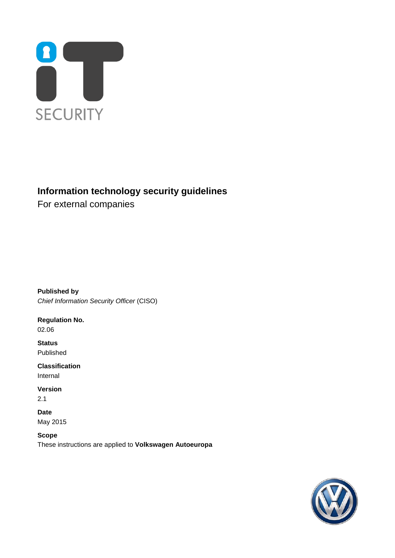

# **Information technology security guidelines**

For external companies

**Published by** *Chief Information Security Officer* (CISO)

**Regulation No.** 02.06

**Status** Published

**Classification** Internal

**Version**

2.1

**Date** May 2015

<span id="page-0-0"></span>**Scope** These instructions are applied to **Volkswagen Autoeuropa**

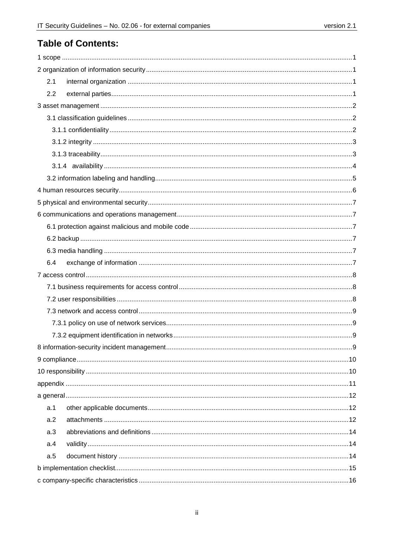# **Table of Contents:**

| 2.1 |  |  |  |
|-----|--|--|--|
| 2.2 |  |  |  |
|     |  |  |  |
|     |  |  |  |
|     |  |  |  |
|     |  |  |  |
|     |  |  |  |
|     |  |  |  |
|     |  |  |  |
|     |  |  |  |
|     |  |  |  |
|     |  |  |  |
|     |  |  |  |
|     |  |  |  |
|     |  |  |  |
| 6.4 |  |  |  |
|     |  |  |  |
|     |  |  |  |
|     |  |  |  |
|     |  |  |  |
|     |  |  |  |
|     |  |  |  |
|     |  |  |  |
|     |  |  |  |
|     |  |  |  |
|     |  |  |  |
|     |  |  |  |
| a.1 |  |  |  |
| a.2 |  |  |  |
| a.3 |  |  |  |
| a.4 |  |  |  |
| a.5 |  |  |  |
|     |  |  |  |
|     |  |  |  |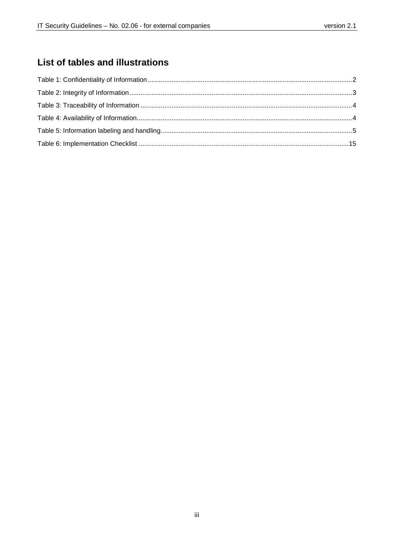# List of tables and illustrations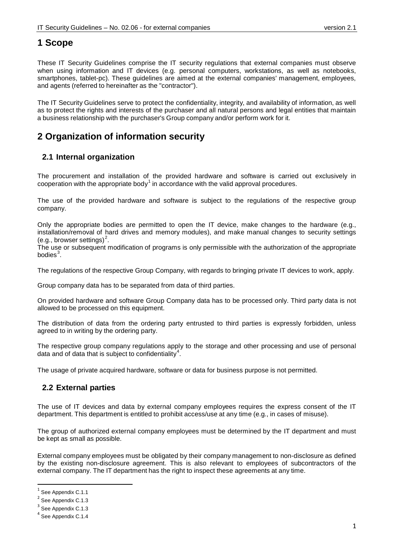# <span id="page-3-0"></span>**1 Scope**

These IT Security Guidelines comprise the IT security regulations that external companies must observe when using information and IT devices (e.g. personal computers, workstations, as well as notebooks, smartphones, tablet-pc). These guidelines are aimed at the external companies' management, employees, and agents (referred to hereinafter as the "contractor").

The IT Security Guidelines serve to protect the confidentiality, integrity, and availability of information, as well as to protect the rights and interests of the purchaser and all natural persons and legal entities that maintain a business relationship with the purchaser's Group company and/or perform work for it.

# <span id="page-3-1"></span>**2 Organization of information security**

## <span id="page-3-2"></span>**2.1 Internal organization**

The procurement and installation of the provided hardware and software is carried out exclusively in cooperation with the appropriate body<sup>[1](#page-0-0)</sup> in accordance with the valid approval procedures.

The use of the provided hardware and software is subject to the regulations of the respective group company.

Only the appropriate bodies are permitted to open the IT device, make changes to the hardware (e.g., installation/removal of hard drives and memory modules), and make manual changes to security settings (e.g., browser settings)<sup>[2](#page-3-4)</sup>.

The use or subsequent modification of programs is only permissible with the authorization of the appropriate bodies $^3$  $^3$ .

The regulations of the respective Group Company, with regards to bringing private IT devices to work, apply.

Group company data has to be separated from data of third parties.

On provided hardware and software Group Company data has to be processed only. Third party data is not allowed to be processed on this equipment.

The distribution of data from the ordering party entrusted to third parties is expressly forbidden, unless agreed to in writing by the ordering party.

The respective group company regulations apply to the storage and other processing and use of personal data and of data that is subject to confidentiality<sup>[4](#page-3-6)</sup>.

The usage of private acquired hardware, software or data for business purpose is not permitted.

## <span id="page-3-3"></span>**2.2 External parties**

The use of IT devices and data by external company employees requires the express consent of the IT department. This department is entitled to prohibit access/use at any time (e.g., in cases of misuse).

The group of authorized external company employees must be determined by the IT department and must be kept as small as possible.

External company employees must be obligated by their company management to non-disclosure as defined by the existing non-disclosure agreement. This is also relevant to employees of subcontractors of the external company. The IT department has the right to inspect these agreements at any time.

 $1$  See Appendix C.1.1

<span id="page-3-4"></span>See Appendix C.1.3

<span id="page-3-5"></span>See Appendix C.1.3

<span id="page-3-6"></span>See Appendix C.1.4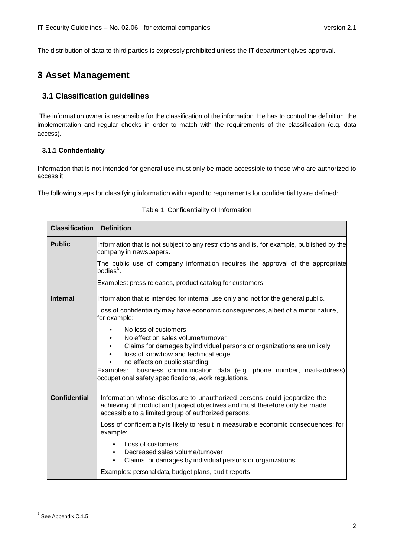The distribution of data to third parties is expressly prohibited unless the IT department gives approval.

# <span id="page-4-0"></span>**3 Asset Management**

## <span id="page-4-1"></span>**3.1 Classification guidelines**

The information owner is responsible for the classification of the information. He has to control the definition, the implementation and regular checks in order to match with the requirements of the classification (e.g. data access).

#### <span id="page-4-2"></span>**3.1.1 Confidentiality**

Information that is not intended for general use must only be made accessible to those who are authorized to access it.

The following steps for classifying information with regard to requirements for confidentiality are defined:

<span id="page-4-3"></span>

| <b>Classification</b> | <b>Definition</b>                                                                                                                                                                                                                                                                                                                                   |
|-----------------------|-----------------------------------------------------------------------------------------------------------------------------------------------------------------------------------------------------------------------------------------------------------------------------------------------------------------------------------------------------|
| <b>Public</b>         | Information that is not subject to any restrictions and is, for example, published by the<br>company in newspapers.                                                                                                                                                                                                                                 |
|                       | The public use of company information requires the approval of the appropriate<br>bodies <sup>5</sup> .                                                                                                                                                                                                                                             |
|                       | Examples: press releases, product catalog for customers                                                                                                                                                                                                                                                                                             |
| <b>Internal</b>       | Information that is intended for internal use only and not for the general public.                                                                                                                                                                                                                                                                  |
|                       | Loss of confidentiality may have economic consequences, albeit of a minor nature,<br>for example:                                                                                                                                                                                                                                                   |
|                       | No loss of customers<br>No effect on sales volume/turnover<br>Claims for damages by individual persons or organizations are unlikely<br>loss of knowhow and technical edge<br>no effects on public standing<br>business communication data (e.g. phone number, mail-address),<br>Examples:<br>occupational safety specifications, work regulations. |
| <b>Confidential</b>   | Information whose disclosure to unauthorized persons could jeopardize the<br>achieving of product and project objectives and must therefore only be made<br>accessible to a limited group of authorized persons.                                                                                                                                    |
|                       | Loss of confidentiality is likely to result in measurable economic consequences; for<br>example:                                                                                                                                                                                                                                                    |
|                       | Loss of customers<br>Decreased sales volume/turnover<br>$\bullet$<br>Claims for damages by individual persons or organizations<br>$\bullet$                                                                                                                                                                                                         |
|                       | Examples: personal data, budget plans, audit reports                                                                                                                                                                                                                                                                                                |

#### Table 1: Confidentiality of Information

<span id="page-4-4"></span> <sup>5</sup> See Appendix C.1.5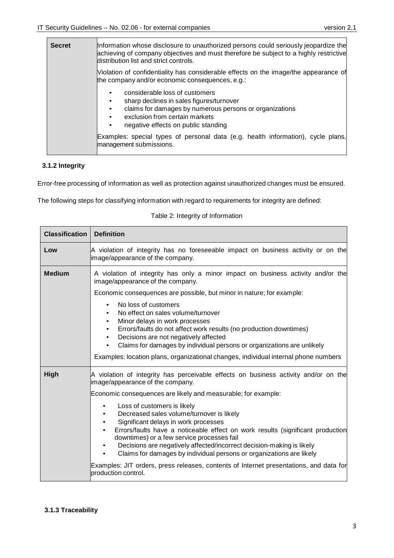| <b>Secret</b>                                                                                                                           | Information whose disclosure to unauthorized persons could seriously jeopardize the<br>achieving of company objectives and must therefore be subject to a highly restrictive<br>distribution list and strict controls. |
|-----------------------------------------------------------------------------------------------------------------------------------------|------------------------------------------------------------------------------------------------------------------------------------------------------------------------------------------------------------------------|
| Violation of confidentiality has considerable effects on the image/the appearance of<br>the company and/or economic consequences, e.g.: |                                                                                                                                                                                                                        |
|                                                                                                                                         | considerable loss of customers<br>sharp declines in sales figures/turnover<br>claims for damages by numerous persons or organizations<br>exclusion from certain markets<br>negative effects on public standing         |
|                                                                                                                                         | Examples: special types of personal data (e.g. health information), cycle plans,<br>management submissions.                                                                                                            |

### <span id="page-5-0"></span>**3.1.2 Integrity**

Error-free processing of information as well as protection against unauthorized changes must be ensured.

<span id="page-5-2"></span>The following steps for classifying information with regard to requirements for integrity are defined:

|  |  |  | Table 2: Integrity of Information |
|--|--|--|-----------------------------------|
|--|--|--|-----------------------------------|

<span id="page-5-1"></span>

| <b>Classification</b> | <b>Definition</b>                                                                                                                                                                                                                                                                                                                                                                                                                             |
|-----------------------|-----------------------------------------------------------------------------------------------------------------------------------------------------------------------------------------------------------------------------------------------------------------------------------------------------------------------------------------------------------------------------------------------------------------------------------------------|
| Low                   | A violation of integrity has no foreseeable impact on business activity or on the<br>image/appearance of the company.                                                                                                                                                                                                                                                                                                                         |
| <b>Medium</b>         | A violation of integrity has only a minor impact on business activity and/or the<br>image/appearance of the company.                                                                                                                                                                                                                                                                                                                          |
|                       | Economic consequences are possible, but minor in nature; for example:                                                                                                                                                                                                                                                                                                                                                                         |
|                       | No loss of customers<br>$\bullet$<br>No effect on sales volume/turnover<br>Minor delays in work processes<br>$\bullet$<br>Errors/faults do not affect work results (no production downtimes)<br>$\bullet$<br>Decisions are not negatively affected<br>$\bullet$<br>Claims for damages by individual persons or organizations are unlikely<br>$\bullet$<br>Examples: location plans, organizational changes, individual internal phone numbers |
| High                  | A violation of integrity has perceivable effects on business activity and/or on the<br>image/appearance of the company.                                                                                                                                                                                                                                                                                                                       |
|                       | Economic consequences are likely and measurable; for example:                                                                                                                                                                                                                                                                                                                                                                                 |
|                       | Loss of customers is likely<br>Decreased sales volume/turnover is likely<br>Significant delays in work processes<br>Errors/faults have a noticeable effect on work results (significant production<br>downtimes) or a few service processes fail<br>Decisions are negatively affected/incorrect decision-making is likely<br>Claims for damages by individual persons or organizations are likely                                             |
|                       | Examples: JIT orders, press releases, contents of Internet presentations, and data for<br>production control.                                                                                                                                                                                                                                                                                                                                 |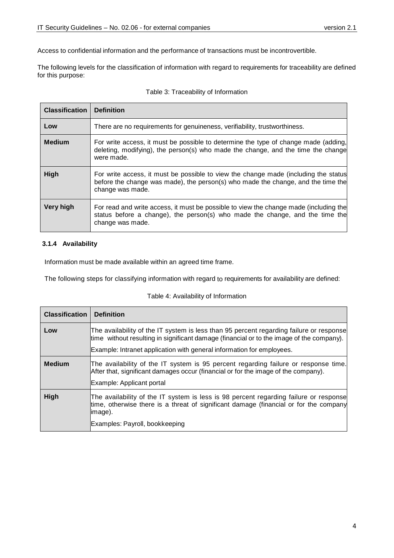Access to confidential information and the performance of transactions must be incontrovertible.

The following levels for the classification of information with regard to requirements for traceability are defined for this purpose:

<span id="page-6-1"></span>

| <b>Classification</b> | <b>Definition</b>                                                                                                                                                                           |
|-----------------------|---------------------------------------------------------------------------------------------------------------------------------------------------------------------------------------------|
| Low                   | There are no requirements for genuineness, verifiability, trustworthiness.                                                                                                                  |
| <b>Medium</b>         | For write access, it must be possible to determine the type of change made (adding,<br>deleting, modifying), the person(s) who made the change, and the time the change<br>were made.       |
| High                  | For write access, it must be possible to view the change made (including the status<br>before the change was made), the person(s) who made the change, and the time the<br>change was made. |
| <b>Very high</b>      | For read and write access, it must be possible to view the change made (including the<br>status before a change), the person(s) who made the change, and the time the<br>change was made.   |

#### Table 3: Traceability of Information

#### <span id="page-6-0"></span>**3.1.4 Availability**

Information must be made available within an agreed time frame.

The following steps for classifying information with regard to requirements for availability are defined:

#### Table 4: Availability of Information

<span id="page-6-2"></span>

| <b>Classification</b> | <b>Definition</b>                                                                                                                                                                                                                                            |
|-----------------------|--------------------------------------------------------------------------------------------------------------------------------------------------------------------------------------------------------------------------------------------------------------|
| Low                   | The availability of the IT system is less than 95 percent regarding failure or response<br>time without resulting in significant damage (financial or to the image of the company).<br>Example: Intranet application with general information for employees. |
| <b>Medium</b>         | The availability of the IT system is 95 percent regarding failure or response time.<br>After that, significant damages occur (financial or for the image of the company).<br>Example: Applicant portal                                                       |
| High                  | The availability of the IT system is less is 98 percent regarding failure or response<br>time, otherwise there is a threat of significant damage (financial or for the company<br>limage).<br>Examples: Payroll, bookkeeping                                 |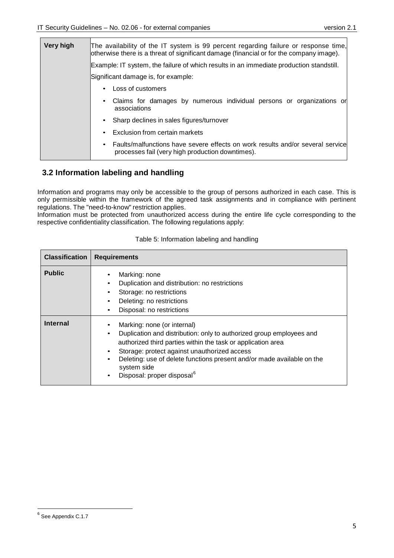| Very high | The availability of the IT system is 99 percent regarding failure or response time,<br>otherwise there is a threat of significant damage (financial or for the company image). |  |  |
|-----------|--------------------------------------------------------------------------------------------------------------------------------------------------------------------------------|--|--|
|           | Example: IT system, the failure of which results in an immediate production standstill.                                                                                        |  |  |
|           | Significant damage is, for example:                                                                                                                                            |  |  |
|           | Loss of customers<br>$\bullet$                                                                                                                                                 |  |  |
|           | Claims for damages by numerous individual persons or organizations or<br>$\bullet$<br>associations                                                                             |  |  |
|           | • Sharp declines in sales figures/turnover                                                                                                                                     |  |  |
|           | Exclusion from certain markets<br>$\bullet$                                                                                                                                    |  |  |
|           | • Faults/malfunctions have severe effects on work results and/or several service<br>processes fail (very high production downtimes).                                           |  |  |

## <span id="page-7-0"></span>**3.2 Information labeling and handling**

Information and programs may only be accessible to the group of persons authorized in each case. This is only permissible within the framework of the agreed task assignments and in compliance with pertinent regulations. The "need-to-know" restriction applies.

Information must be protected from unauthorized access during the entire life cycle corresponding to the respective confidentiality classification. The following regulations apply:

<span id="page-7-1"></span>

| <b>Classification</b> | <b>Requirements</b>                                                                                                                                                                                                                                                                                                                                                                                |  |  |
|-----------------------|----------------------------------------------------------------------------------------------------------------------------------------------------------------------------------------------------------------------------------------------------------------------------------------------------------------------------------------------------------------------------------------------------|--|--|
| <b>Public</b>         | Marking: none<br>Duplication and distribution: no restrictions<br>Storage: no restrictions<br>Deleting: no restrictions<br>٠<br>Disposal: no restrictions                                                                                                                                                                                                                                          |  |  |
| <b>Internal</b>       | Marking: none (or internal)<br>Duplication and distribution: only to authorized group employees and<br>٠<br>authorized third parties within the task or application area<br>Storage: protect against unauthorized access<br>$\bullet$<br>Deleting: use of delete functions present and/or made available on the<br>$\bullet$<br>system side<br>Disposal: proper disposal <sup>6</sup><br>$\bullet$ |  |  |

#### Table 5: Information labeling and handling

<span id="page-7-2"></span> <sup>6</sup> See Appendix C.1.7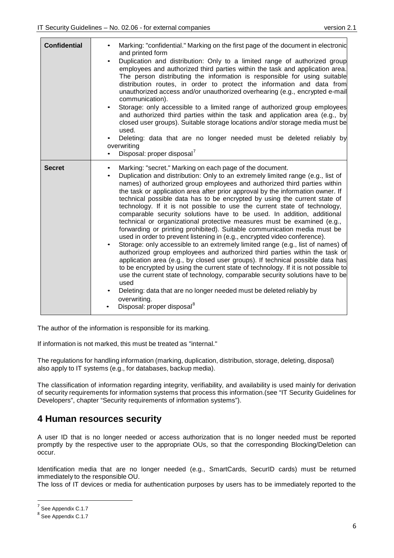| <b>Confidential</b> | Marking: "confidential." Marking on the first page of the document in electronic<br>and printed form<br>Duplication and distribution: Only to a limited range of authorized group<br>employees and authorized third parties within the task and application area.<br>The person distributing the information is responsible for using suitable<br>distribution routes, in order to protect the information and data from<br>unauthorized access and/or unauthorized overhearing (e.g., encrypted e-mail<br>communication).<br>Storage: only accessible to a limited range of authorized group employees<br>and authorized third parties within the task and application area (e.g., by<br>closed user groups). Suitable storage locations and/or storage media must be<br>used.<br>Deleting: data that are no longer needed must be deleted reliably by<br>overwriting<br>Disposal: proper disposal <sup>7</sup>                                                                                                                                                                                                                                                                                                                                                                                                                                                                |
|---------------------|---------------------------------------------------------------------------------------------------------------------------------------------------------------------------------------------------------------------------------------------------------------------------------------------------------------------------------------------------------------------------------------------------------------------------------------------------------------------------------------------------------------------------------------------------------------------------------------------------------------------------------------------------------------------------------------------------------------------------------------------------------------------------------------------------------------------------------------------------------------------------------------------------------------------------------------------------------------------------------------------------------------------------------------------------------------------------------------------------------------------------------------------------------------------------------------------------------------------------------------------------------------------------------------------------------------------------------------------------------------------------------|
| <b>Secret</b>       | Marking: "secret." Marking on each page of the document.<br>Duplication and distribution: Only to an extremely limited range (e.g., list of<br>$\bullet$<br>names) of authorized group employees and authorized third parties within<br>the task or application area after prior approval by the information owner. If<br>technical possible data has to be encrypted by using the current state of<br>technology. If it is not possible to use the current state of technology,<br>comparable security solutions have to be used. In addition, additional<br>technical or organizational protective measures must be examined (e.g.,<br>forwarding or printing prohibited). Suitable communication media must be<br>used in order to prevent listening in (e.g., encrypted video conference).<br>Storage: only accessible to an extremely limited range (e.g., list of names) of<br>$\bullet$<br>authorized group employees and authorized third parties within the task or<br>application area (e.g., by closed user groups). If technical possible data has<br>to be encrypted by using the current state of technology. If it is not possible to<br>use the current state of technology, comparable security solutions have to be<br>used<br>Deleting: data that are no longer needed must be deleted reliably by<br>overwriting.<br>Disposal: proper disposal <sup>8</sup> |

The author of the information is responsible for its marking.

If information is not marked, this must be treated as "internal."

The regulations for handling information (marking, duplication, distribution, storage, deleting, disposal) also apply to IT systems (e.g., for databases, backup media).

The classification of information regarding integrity, verifiability, and availability is used mainly for derivation of security requirements for information systems that process this information.(see "IT Security Guidelines for Developers", chapter "Security requirements of information systems").

## <span id="page-8-0"></span>**4 Human resources security**

A user ID that is no longer needed or access authorization that is no longer needed must be reported promptly by the respective user to the appropriate OUs, so that the corresponding Blocking/Deletion can occur.

Identification media that are no longer needed (e.g., SmartCards, SecurID cards) must be returned immediately to the responsible OU.

The loss of IT devices or media for authentication purposes by users has to be immediately reported to the

<span id="page-8-2"></span> <sup>7</sup> See Appendix C.1.7

<span id="page-8-1"></span><sup>8</sup> See Appendix C.1.7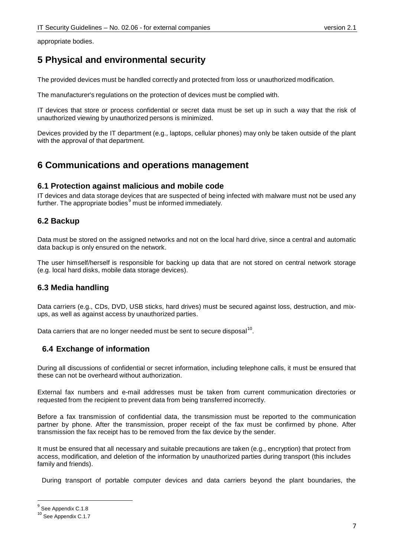appropriate bodies.

# <span id="page-9-0"></span>**5 Physical and environmental security**

The provided devices must be handled correctly and protected from loss or unauthorized modification.

The manufacturer's regulations on the protection of devices must be complied with.

IT devices that store or process confidential or secret data must be set up in such a way that the risk of unauthorized viewing by unauthorized persons is minimized.

Devices provided by the IT department (e.g., laptops, cellular phones) may only be taken outside of the plant with the approval of that department.

## <span id="page-9-1"></span>**6 Communications and operations management**

#### <span id="page-9-2"></span>**6.1 Protection against malicious and mobile code**

IT devices and data storage devices that are suspected of being infected with malware must not be used any further. The appropriate bodies<sup>[9](#page-8-2)</sup> must be informed immediately.

### <span id="page-9-3"></span>**6.2 Backup**

Data must be stored on the assigned networks and not on the local hard drive, since a central and automatic data backup is only ensured on the network.

The user himself/herself is responsible for backing up data that are not stored on central network storage (e.g. local hard disks, mobile data storage devices).

## <span id="page-9-4"></span>**6.3 Media handling**

Data carriers (e.g., CDs, DVD, USB sticks, hard drives) must be secured against loss, destruction, and mixups, as well as against access by unauthorized parties.

Data carriers that are no longer needed must be sent to secure disposal<sup>[10](#page-9-6)</sup>.

## <span id="page-9-5"></span>**6.4 Exchange of information**

During all discussions of confidential or secret information, including telephone calls, it must be ensured that these can not be overheard without authorization.

External fax numbers and e-mail addresses must be taken from current communication directories or requested from the recipient to prevent data from being transferred incorrectly.

Before a fax transmission of confidential data, the transmission must be reported to the communication partner by phone. After the transmission, proper receipt of the fax must be confirmed by phone. After transmission the fax receipt has to be removed from the fax device by the sender.

It must be ensured that all necessary and suitable precautions are taken (e.g., encryption) that protect from access, modification, and deletion of the information by unauthorized parties during transport (this includes family and friends).

During transport of portable computer devices and data carriers beyond the plant boundaries, the

<sup>&</sup>lt;sup>9</sup> See Appendix C.1.8

<span id="page-9-6"></span><sup>&</sup>lt;sup>10</sup> See Appendix C.1.7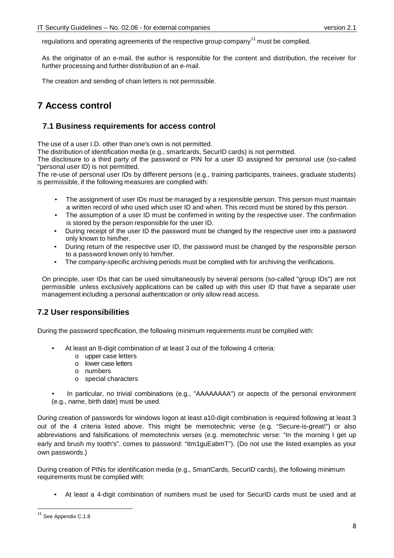regulations and operating agreements of the respective group company<sup>[11](#page-9-6)</sup> must be complied.

As the originator of an e-mail, the author is responsible for the content and distribution, the receiver for further processing and further distribution of an e-mail.

The creation and sending of chain letters is not permissible.

# <span id="page-10-0"></span>**7 Access control**

#### <span id="page-10-1"></span>**7.1 Business requirements for access control**

The use of a user I.D. other than one's own is not permitted.

The distribution of identification media (e.g., smartcards, SecurID cards) is not permitted.

The disclosure to a third party of the password or PIN for a user ID assigned for personal use (so-called "personal user ID) is not permitted.

The re-use of personal user IDs by different persons (e.g., training participants, trainees, graduate students) is permissible, if the following measures are complied with:

- The assignment of user IDs must be managed by a responsible person. This person must maintain a written record of who used which user ID and when. This record must be stored by this person.
- The assumption of a user ID must be confirmed in writing by the respective user. The confirmation is stored by the person responsible for the user ID.
- During receipt of the user ID the password must be changed by the respective user into a password only known to him/her.
- During return of the respective user ID, the password must be changed by the responsible person to a password known only to him/her.
- The company-specific archiving periods must be complied with for archiving the verifications.

On principle, user IDs that can be used simultaneously by several persons (so-called "group IDs") are not permissible unless exclusively applications can be called up with this user ID that have a separate user management including a personal authentication or only allow read access.

## <span id="page-10-2"></span>**7.2 User responsibilities**

During the password specification, the following minimum requirements must be complied with:

- At least an 8-digit combination of at least 3 out of the following 4 criteria:
	- o upper case letters
	- o lower case letters
	- o numbers
	- o special characters

In particular, no trivial combinations (e.g., "AAAAAAAA") or aspects of the personal environment (e.g., name, birth date) must be used.

During creation of passwords for windows logon at least a10-digit combination is required following at least 3 out of the 4 criteria listed above. This might be memotechnic verse (e.g. "Secure-is-great!") or also abbreviations and [falsifications](http://dict.tu-chemnitz.de/english-german/falsification.html) of memotechnix verses (e.g. memotechnic verse: "In the morning I get up early and brush my tooth's". comes to password: "Itm1guEabmT"). (Do not use the listed examples as your own passwords.)

<span id="page-10-3"></span>During creation of PINs for identification media (e.g., SmartCards, SecurID cards), the following minimum requirements must be complied with:

• At least a 4-digit combination of numbers must be used for SecurID cards must be used and at

<sup>&</sup>lt;sup>11</sup> See Appendix C.1.8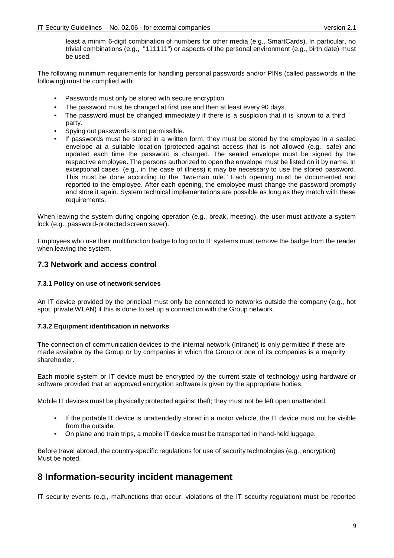least a minim 6-digit combination of numbers for other media (e.g., SmartCards). In particular, no trivial combinations (e.g., "111111") or aspects of the personal environment (e.g., birth date) must be used.

The following minimum requirements for handling personal passwords and/or PINs (called passwords in the following) must be complied with:

- Passwords must only be stored with secure encryption.
- The password must be changed at first use and then at least every 90 days.
- The password must be changed immediately if there is a suspicion that it is known to a third party.
- Spying out passwords is not permissible.
- If passwords must be stored in a written form, they must be stored by the employee in a sealed envelope at a suitable location (protected against access that is not allowed (e.g., safe) and updated each time the password is changed. The sealed envelope must be signed by the respective employee. The persons authorized to open the envelope must be listed on it by name. In exceptional cases (e.g., in the case of illness) it may be necessary to use the stored password. This must be done according to the "two-man rule." Each opening must be documented and reported to the employee. After each opening, the employee must change the password promptly and store it again. System technical implementations are possible as long as they match with these requirements.

When leaving the system during ongoing operation (e.g., break, meeting), the user must activate a system lock (e.g., password-protected screen saver).

Employees who use their multifunction badge to log on to IT systems must remove the badge from the reader when leaving the system.

### <span id="page-11-0"></span>**7.3 Network and access control**

#### <span id="page-11-1"></span>**7.3.1 Policy on use of network services**

An IT device provided by the principal must only be connected to networks outside the company (e.g., hot spot, private WLAN) if this is done to set up a connection with the Group network.

#### <span id="page-11-2"></span>**7.3.2 Equipment identification in networks**

The connection of communication devices to the internal network (Intranet) is only permitted if these are made available by the Group or by companies in which the Group or one of its companies is a majority shareholder.

Each mobile system or IT device must be encrypted by the current state of technology using hardware or software provided that an approved encryption software is given by the appropriate bodies.

Mobile IT devices must be physically protected against theft; they must not be left open unattended.

- If the portable IT device is unattendedly stored in a motor vehicle, the IT device must not be visible from the outside.
- On plane and train trips, a mobile IT device must be transported in hand-held luggage.

Before travel abroad, the country-specific regulations for use of security technologies (e.g., encryption) Must be noted.

## <span id="page-11-3"></span>**8 Information-security incident management**

IT security events (e.g., malfunctions that occur, violations of the IT security regulation) must be reported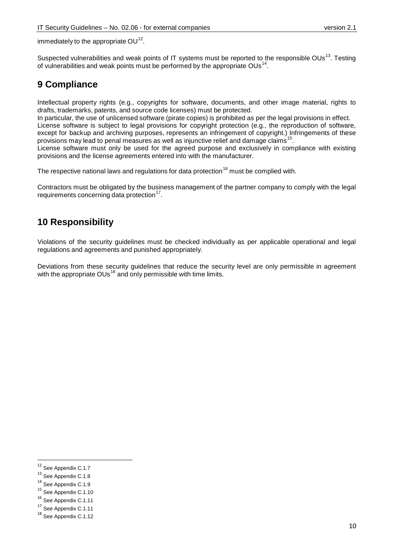<span id="page-12-8"></span>immediately to the appropriate  $OU^{12}$  $OU^{12}$  $OU^{12}$ .

Suspected vulnerabilities and weak points of IT systems must be reported to the responsible OUs<sup>[13](#page-12-2)</sup>. Testing of vulnerabilities and weak points must be performed by the appropriate  $OUs<sup>14</sup>$  $OUs<sup>14</sup>$  $OUs<sup>14</sup>$ 

# <span id="page-12-0"></span>**9 Compliance**

Intellectual property rights (e.g., copyrights for software, documents, and other image material, rights to drafts, trademarks, patents, and source code licenses) must be protected.

In particular, the use of unlicensed software (pirate copies) is prohibited as per the legal provisions in effect. License software is subject to legal provisions for copyright protection (e.g., the reproduction of software, except for backup and archiving purposes, represents an infringement of copyright.) Infringements of these provisions may lead to penal measures as well as injunctive relief and damage claims<sup>[15](#page-12-4)</sup>.

License software must only be used for the agreed purpose and exclusively in compliance with existing provisions and the license agreements entered into with the manufacturer.

The respective national laws and regulations for data protection<sup>[16](#page-12-5)</sup> must be complied with.

Contractors must be obligated by the business management of the partner company to comply with the legal requirements concerning data protection<sup>17</sup>.

# <span id="page-12-1"></span>**10 Responsibility**

Violations of the security guidelines must be checked individually as per applicable operational and legal regulations and agreements and punished appropriately.

Deviations from these security guidelines that reduce the security level are only permissible in agreement with the appropriate  $OUs^{18}$  $OUs^{18}$  $OUs^{18}$  and only permissible with time limits.

<span id="page-12-4"></span><sup>15</sup> See Appendix C.1.10

<sup>&</sup>lt;sup>12</sup> See Appendix C.1.7

<span id="page-12-2"></span><sup>&</sup>lt;sup>13</sup> See Appendix C.1.8

<span id="page-12-3"></span><sup>&</sup>lt;sup>14</sup> See Appendix C.1.9

<span id="page-12-5"></span><sup>&</sup>lt;sup>16</sup> See Appendix C.1.11

<span id="page-12-6"></span><sup>&</sup>lt;sup>17</sup> See Appendix C.1.11

<span id="page-12-7"></span><sup>&</sup>lt;sup>18</sup> See Appendix C.1.12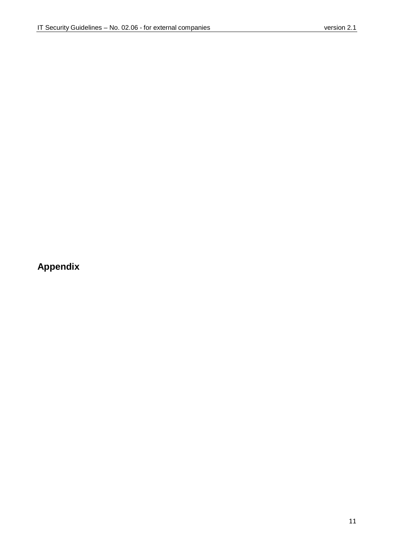# <span id="page-13-0"></span>**Appendix**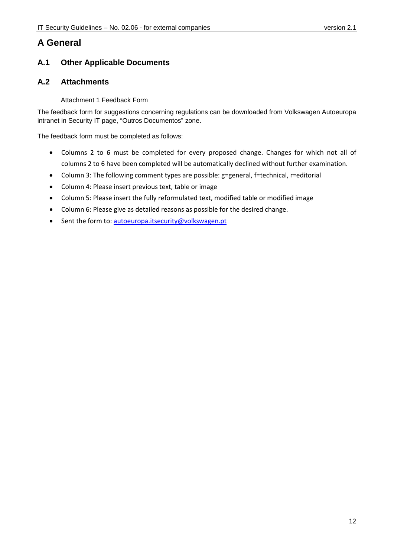# <span id="page-14-0"></span>**A General**

## <span id="page-14-1"></span>**A.1 Other Applicable Documents**

## <span id="page-14-2"></span>**A.2 Attachments**

#### Attachment 1 Feedback Form

The feedback form for suggestions concerning regulations can be downloaded from Volkswagen Autoeuropa intranet in Security IT page, "Outros Documentos" zone.

The feedback form must be completed as follows:

- Columns 2 to 6 must be completed for every proposed change. Changes for which not all of columns 2 to 6 have been completed will be automatically declined without further examination.
- Column 3: The following comment types are possible: g=general, f=technical, r=editorial
- Column 4: Please insert previous text, table or image
- Column 5: Please insert the fully reformulated text, modified table or modified image
- Column 6: Please give as detailed reasons as possible for the desired change.
- Sent the form to: [autoeuropa.itsecurity@volkswagen.pt](mailto:autoeuropa.itsecurity@volkswagen.pt)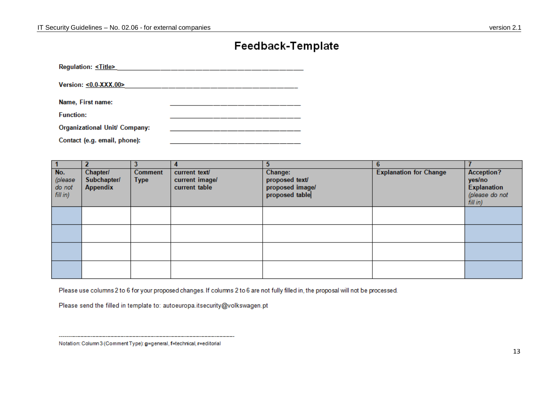# Feedback-Template

| Regulation: <title></title>   |  |
|-------------------------------|--|
| Version: <0.0-XXX.00>         |  |
| Name, First name:             |  |
| <b>Function:</b>              |  |
| Organizational Unit/ Company: |  |
| Contact (e.g. email, phone):  |  |

|                                      |                                            |                               |                                                  | 5.                                                             | 6.                            |                                                                                |
|--------------------------------------|--------------------------------------------|-------------------------------|--------------------------------------------------|----------------------------------------------------------------|-------------------------------|--------------------------------------------------------------------------------|
| No.<br>(please<br>do not<br>fill in) | Chapter/<br>Subchapter/<br><b>Appendix</b> | <b>Comment</b><br><b>Type</b> | current text/<br>current image/<br>current table | Change:<br>proposed text/<br>proposed image/<br>proposed table | <b>Explanation for Change</b> | <b>Acception?</b><br>yes/no<br><b>Explanation</b><br>(please do not<br>fillin) |
|                                      |                                            |                               |                                                  |                                                                |                               |                                                                                |
|                                      |                                            |                               |                                                  |                                                                |                               |                                                                                |
|                                      |                                            |                               |                                                  |                                                                |                               |                                                                                |
|                                      |                                            |                               |                                                  |                                                                |                               |                                                                                |

Please use columns 2 to 6 for your proposed changes. If columns 2 to 6 are not fully filled in, the proposal will not be processed.

Please send the filled in template to: autoeuropa.itsecurity@volkswagen.pt

Notation: Column 3 (Comment Type): g=general, f=techrical, r=editorial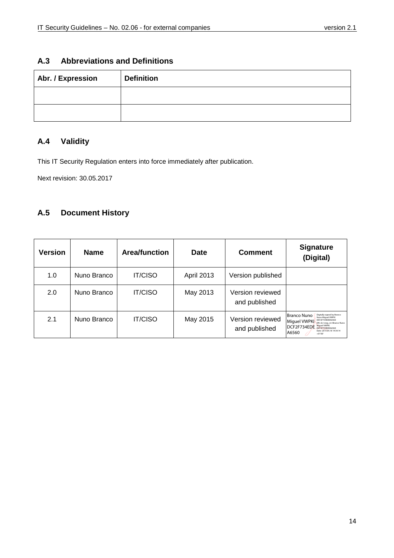## <span id="page-16-0"></span>**A.3 Abbreviations and Definitions**

| Abr. / Expression | <b>Definition</b> |
|-------------------|-------------------|
|                   |                   |
|                   |                   |

## <span id="page-16-1"></span>**A.4 Validity**

This IT Security Regulation enters into force immediately after publication.

Next revision: 30.05.2017

## <span id="page-16-2"></span>**A.5 Document History**

| <b>Version</b> | <b>Name</b> | <b>Area/function</b> | <b>Date</b>       | <b>Comment</b>                    | <b>Signature</b><br>(Digital)                                                                                                                                                                                                                 |
|----------------|-------------|----------------------|-------------------|-----------------------------------|-----------------------------------------------------------------------------------------------------------------------------------------------------------------------------------------------------------------------------------------------|
| 1.0            | Nuno Branco | <b>IT/CISO</b>       | <b>April 2013</b> | Version published                 |                                                                                                                                                                                                                                               |
| 2.0            | Nuno Branco | <b>IT/CISO</b>       | May 2013          | Version reviewed<br>and published |                                                                                                                                                                                                                                               |
| 2.1            | Nuno Branco | <b>IT/CISO</b>       | May 2015          | Version reviewed<br>and published | <b>Branco Nuno</b><br>Digitally signed by Branco<br>Nuno Miquel VWPKI<br>DCE2E734EDEA6560<br>Miquel VWPKI<br>DN: dc=vwg. cn=Branco Nuno<br>Miguel VWPKI<br>DCF2F734EDE<br>DCE2E734EDEA6560<br>Date: 2015.05.18 14:39:14<br>A6560<br>$+01,00,$ |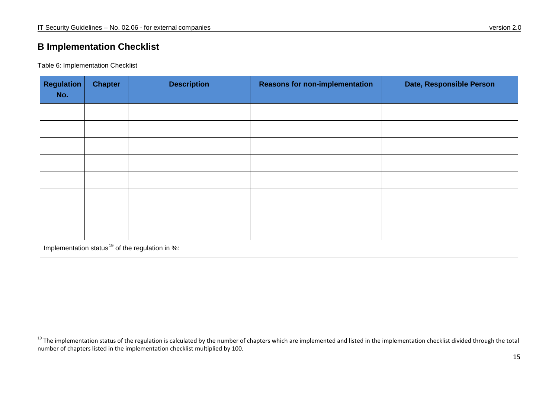# **B Implementation Checklist**

Table 6: Implementation Checklist

| <b>Regulation</b><br>No.                                    | <b>Chapter</b> | <b>Description</b> | <b>Reasons for non-implementation</b> | Date, Responsible Person |  |
|-------------------------------------------------------------|----------------|--------------------|---------------------------------------|--------------------------|--|
|                                                             |                |                    |                                       |                          |  |
|                                                             |                |                    |                                       |                          |  |
|                                                             |                |                    |                                       |                          |  |
|                                                             |                |                    |                                       |                          |  |
|                                                             |                |                    |                                       |                          |  |
|                                                             |                |                    |                                       |                          |  |
|                                                             |                |                    |                                       |                          |  |
|                                                             |                |                    |                                       |                          |  |
| Implementation status <sup>19</sup> of the regulation in %: |                |                    |                                       |                          |  |

<span id="page-17-0"></span> $19$  The implementation status of the regulation is calculated by the number of chapters which are implemented and listed in the implementation checklist divided through the total number of chapters listed in the implementation checklist multiplied by 100.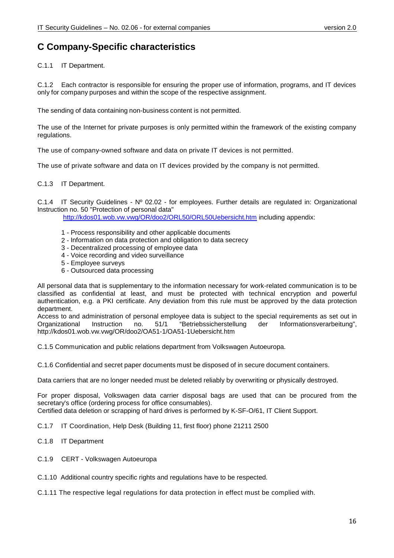# <span id="page-18-0"></span>**C Company-Specific characteristics**

#### C.1.1 IT Department.

C.1.2 Each contractor is responsible for ensuring the proper use of information, programs, and IT devices only for company purposes and within the scope of the respective assignment.

The sending of data containing non-business content is not permitted.

The use of the Internet for private purposes is only permitted within the framework of the existing company regulations.

The use of company-owned software and data on private IT devices is not permitted.

The use of private software and data on IT devices provided by the company is not permitted.

#### C.1.3 IT Department.

C.1.4 IT Security Guidelines - Nº 02.02 - for employees. Further details are regulated in: Organizational Instruction no. 50 "Protection of personal data"

<http://kdos01.wob.vw.vwg/OR/doo2/ORL50/ORL50Uebersicht.htm> including appendix:

- 1 Process responsibility and other applicable documents
- 2 Information on data protection and obligation to data secrecy
- 3 Decentralized processing of employee data
- 4 Voice recording and video surveillance
- 5 Employee surveys
- 6 Outsourced data processing

All personal data that is supplementary to the information necessary for work-related communication is to be classified as confidential at least, and must be protected with technical encryption and powerful authentication, e.g. a PKI certificate. Any deviation from this rule must be approved by the data protection department.

Access to and administration of personal employee data is subject to the special requirements as set out in<br>Organizational Instruction no. 51/1 "Betriebssicherstellung der Informationsverarbeitung". Information sverarbeitung", http://kdos01.wob.vw.vwg/OR/doo2/OA51-1/OA51-1Uebersicht.htm

C.1.5 Communication and public relations department from Volkswagen Autoeuropa.

C.1.6 Confidential and secret paper documents must be disposed of in secure document containers.

Data carriers that are no longer needed must be deleted reliably by overwriting or physically destroyed.

For proper disposal, Volkswagen data carrier disposal bags are used that can be procured from the secretary's office (ordering process for office consumables). Certified data deletion or scrapping of hard drives is performed by K-SF-O/61, IT Client Support.

C.1.7 IT Coordination, Help Desk (Building 11, first floor) phone 21211 2500

- C.1.8 IT Department
- C.1.9 CERT Volkswagen Autoeuropa
- C.1.10 Additional country specific rights and regulations have to be respected.
- C.1.11 The respective legal regulations for data protection in effect must be complied with.